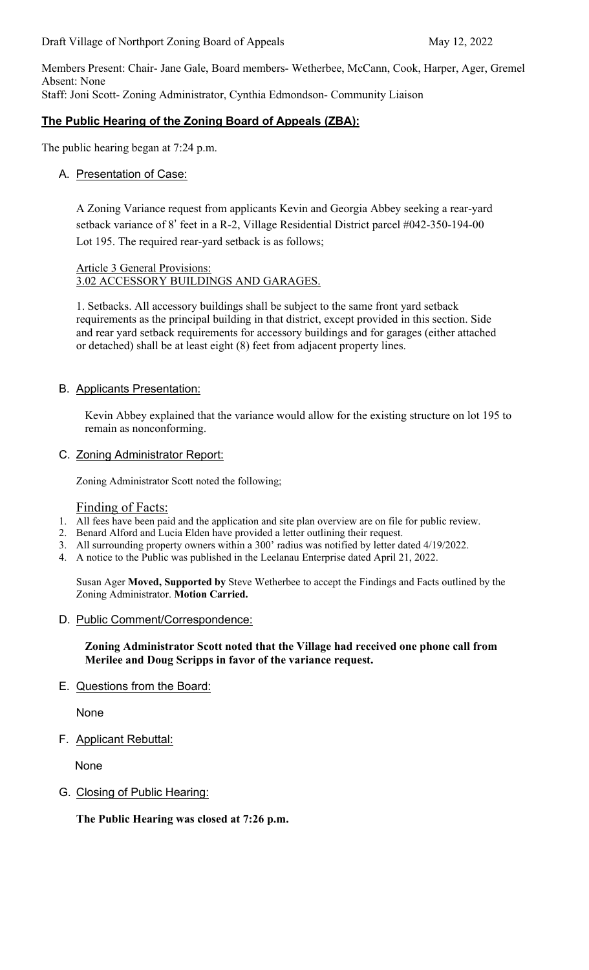Members Present: Chair- Jane Gale, Board members- Wetherbee, McCann, Cook, Harper, Ager, Gremel Absent: None Staff: Joni Scott- Zoning Administrator, Cynthia Edmondson- Community Liaison

# **The Public Hearing of the Zoning Board of Appeals (ZBA):**

The public hearing began at 7:24 p.m.

#### A. Presentation of Case:

A Zoning Variance request from applicants Kevin and Georgia Abbey seeking a rear-yard setback variance of 8' feet in a R-2, Village Residential District parcel #042-350-194-00 Lot 195. The required rear-yard setback is as follows;

#### Article 3 General Provisions: 3.02 ACCESSORY BUILDINGS AND GARAGES.

1. Setbacks. All accessory buildings shall be subject to the same front yard setback requirements as the principal building in that district, except provided in this section. Side and rear yard setback requirements for accessory buildings and for garages (either attached or detached) shall be at least eight (8) feet from adjacent property lines.

#### B. Applicants Presentation:

Kevin Abbey explained that the variance would allow for the existing structure on lot 195 to remain as nonconforming.

C. Zoning Administrator Report:

Zoning Administrator Scott noted the following;

#### Finding of Facts:

- 1. All fees have been paid and the application and site plan overview are on file for public review.
- 2. Benard Alford and Lucia Elden have provided a letter outlining their request.
- 3. All surrounding property owners within a 300' radius was notified by letter dated 4/19/2022.
- 4. A notice to the Public was published in the Leelanau Enterprise dated April 21, 2022.

Susan Ager **Moved, Supported by** Steve Wetherbee to accept the Findings and Facts outlined by the Zoning Administrator. **Motion Carried.**

#### D. Public Comment/Correspondence:

**Zoning Administrator Scott noted that the Village had received one phone call from Merilee and Doug Scripps in favor of the variance request.** 

E. Questions from the Board:

None

F. Applicant Rebuttal:

None

#### G. Closing of Public Hearing:

**The Public Hearing was closed at 7:26 p.m.**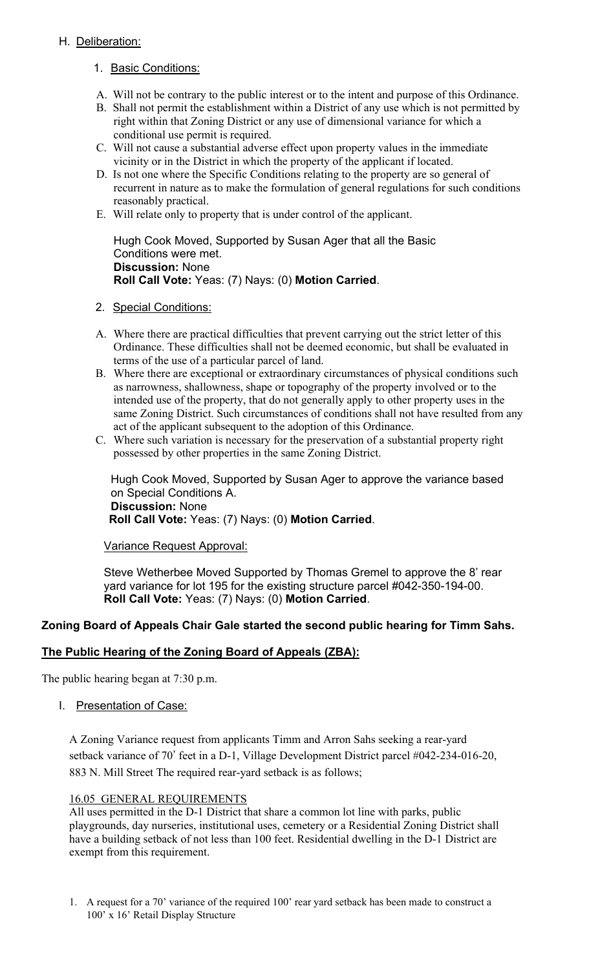# H. Deliberation:

- 1. Basic Conditions:
- A. Will not be contrary to the public interest or to the intent and purpose of this Ordinance.
- B. Shall not permit the establishment within a District of any use which is not permitted by right within that Zoning District or any use of dimensional variance for which a conditional use permit is required.
- C. Will not cause a substantial adverse effect upon property values in the immediate vicinity or in the District in which the property of the applicant if located.
- D. Is not one where the Specific Conditions relating to the property are so general of recurrent in nature as to make the formulation of general regulations for such conditions reasonably practical.
- E. Will relate only to property that is under control of the applicant.

Hugh Cook Moved, Supported by Susan Ager that all the Basic Conditions were met. **Discussion:** None **Roll Call Vote:** Yeas: (7) Nays: (0) **Motion Carried**.

#### 2. Special Conditions:

- A. Where there are practical difficulties that prevent carrying out the strict letter of this Ordinance. These difficulties shall not be deemed economic, but shall be evaluated in terms of the use of a particular parcel of land.
- B. Where there are exceptional or extraordinary circumstances of physical conditions such as narrowness, shallowness, shape or topography of the property involved or to the intended use of the property, that do not generally apply to other property uses in the same Zoning District. Such circumstances of conditions shall not have resulted from any act of the applicant subsequent to the adoption of this Ordinance.
- C. Where such variation is necessary for the preservation of a substantial property right possessed by other properties in the same Zoning District.

Hugh Cook Moved, Supported by Susan Ager to approve the variance based on Special Conditions A. **Discussion:** None  **Roll Call Vote:** Yeas: (7) Nays: (0) **Motion Carried**.

## Variance Request Approval:

Steve Wetherbee Moved Supported by Thomas Gremel to approve the 8' rear yard variance for lot 195 for the existing structure parcel #042-350-194-00. **Roll Call Vote:** Yeas: (7) Nays: (0) **Motion Carried**.

## **Zoning Board of Appeals Chair Gale started the second public hearing for Timm Sahs.**

## **The Public Hearing of the Zoning Board of Appeals (ZBA):**

The public hearing began at 7:30 p.m.

I. Presentation of Case:

A Zoning Variance request from applicants Timm and Arron Sahs seeking a rear-yard setback variance of 70' feet in a D-1, Village Development District parcel #042-234-016-20, 883 N. Mill Street The required rear-yard setback is as follows;

## 16.05 GENERAL REQUIREMENTS

All uses permitted in the D-1 District that share a common lot line with parks, public playgrounds, day nurseries, institutional uses, cemetery or a Residential Zoning District shall have a building setback of not less than 100 feet. Residential dwelling in the D-1 District are exempt from this requirement.

1. A request for a 70' variance of the required 100' rear yard setback has been made to construct a 100' x 16' Retail Display Structure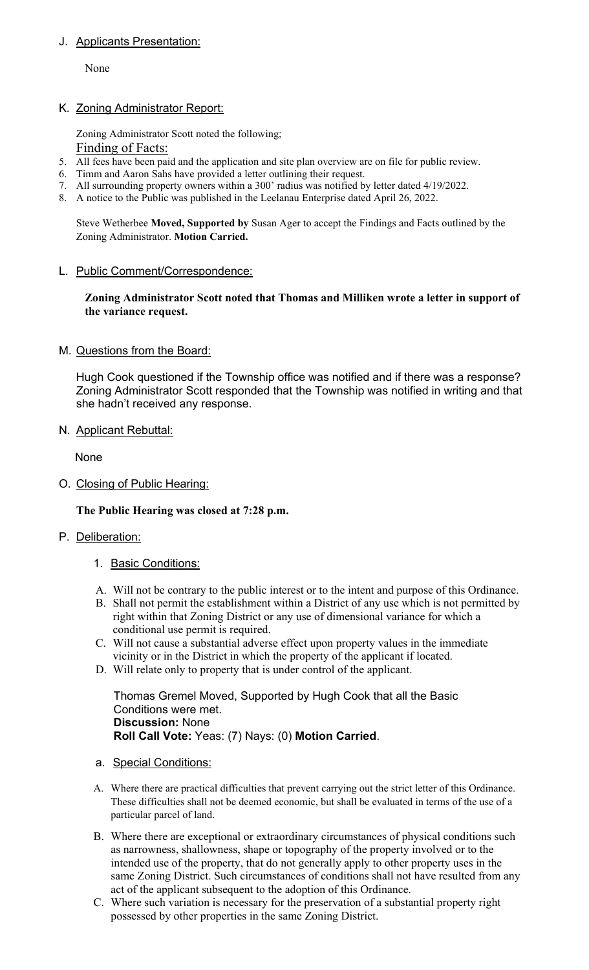# J. Applicants Presentation:

None

# K. Zoning Administrator Report:

Zoning Administrator Scott noted the following; Finding of Facts:

- 5. All fees have been paid and the application and site plan overview are on file for public review.
- 6. Timm and Aaron Sahs have provided a letter outlining their request.
- 7. All surrounding property owners within a 300' radius was notified by letter dated 4/19/2022.
- 8. A notice to the Public was published in the Leelanau Enterprise dated April 26, 2022.

Steve Wetherbee **Moved, Supported by** Susan Ager to accept the Findings and Facts outlined by the Zoning Administrator. **Motion Carried.**

#### L. Public Comment/Correspondence:

**Zoning Administrator Scott noted that Thomas and Milliken wrote a letter in support of the variance request.** 

M. Questions from the Board:

Hugh Cook questioned if the Township office was notified and if there was a response? Zoning Administrator Scott responded that the Township was notified in writing and that she hadn't received any response.

N. Applicant Rebuttal:

None

O. Closing of Public Hearing:

**The Public Hearing was closed at 7:28 p.m.** 

## P. Deliberation:

- 1. Basic Conditions:
- A. Will not be contrary to the public interest or to the intent and purpose of this Ordinance.
- B. Shall not permit the establishment within a District of any use which is not permitted by right within that Zoning District or any use of dimensional variance for which a conditional use permit is required.
- C. Will not cause a substantial adverse effect upon property values in the immediate vicinity or in the District in which the property of the applicant if located.
- D. Will relate only to property that is under control of the applicant.

Thomas Gremel Moved, Supported by Hugh Cook that all the Basic Conditions were met. **Discussion:** None **Roll Call Vote:** Yeas: (7) Nays: (0) **Motion Carried**.

- a. Special Conditions:
- A. Where there are practical difficulties that prevent carrying out the strict letter of this Ordinance. These difficulties shall not be deemed economic, but shall be evaluated in terms of the use of a particular parcel of land.
- B. Where there are exceptional or extraordinary circumstances of physical conditions such as narrowness, shallowness, shape or topography of the property involved or to the intended use of the property, that do not generally apply to other property uses in the same Zoning District. Such circumstances of conditions shall not have resulted from any act of the applicant subsequent to the adoption of this Ordinance.
- C. Where such variation is necessary for the preservation of a substantial property right possessed by other properties in the same Zoning District.